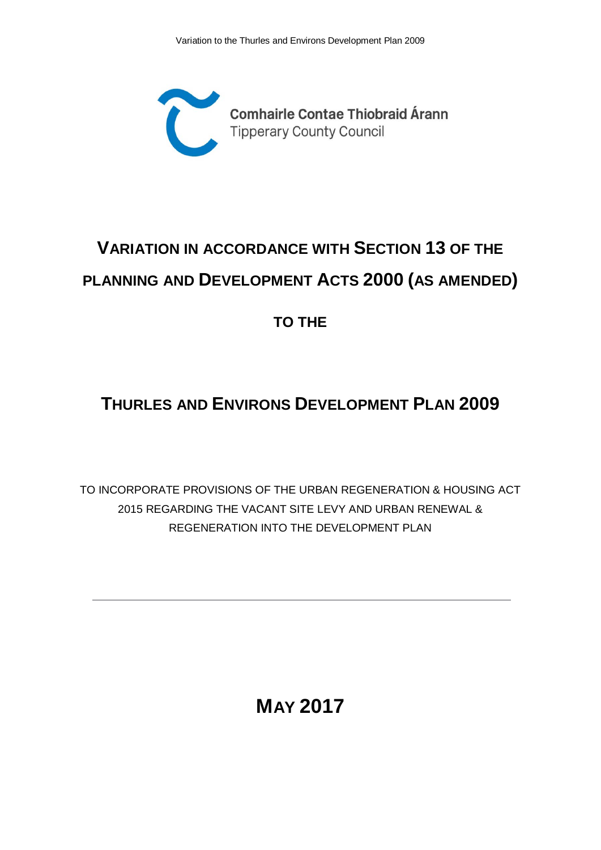

## **VARIATION IN ACCORDANCE WITH SECTION 13 OF THE PLANNING AND DEVELOPMENT ACTS 2000 (AS AMENDED)**

**TO THE**

## **THURLES AND ENVIRONS DEVELOPMENT PLAN 2009**

TO INCORPORATE PROVISIONS OF THE URBAN REGENERATION & HOUSING ACT 2015 REGARDING THE VACANT SITE LEVY AND URBAN RENEWAL & REGENERATION INTO THE DEVELOPMENT PLAN

**MAY 2017**